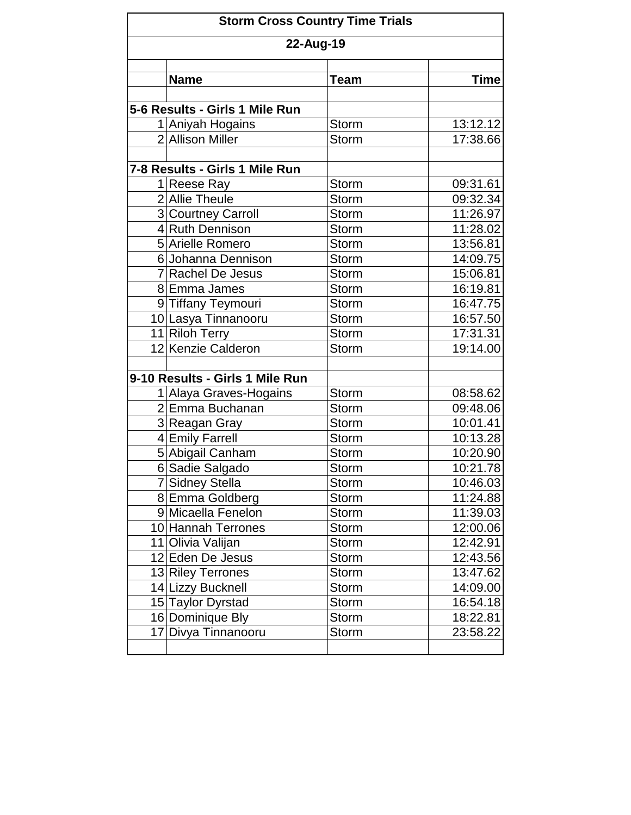| 22-Aug-19 |                                 |              |             |  |
|-----------|---------------------------------|--------------|-------------|--|
|           | <b>Name</b>                     | <b>Team</b>  | <b>Time</b> |  |
|           |                                 |              |             |  |
|           | 5-6 Results - Girls 1 Mile Run  |              |             |  |
|           | 1 Aniyah Hogains                | <b>Storm</b> | 13:12.12    |  |
|           | 2 Allison Miller                | <b>Storm</b> | 17:38.66    |  |
|           |                                 |              |             |  |
|           | 7-8 Results - Girls 1 Mile Run  |              |             |  |
|           | 1 Reese Ray                     | <b>Storm</b> | 09:31.61    |  |
|           | 2 Allie Theule                  | <b>Storm</b> | 09:32.34    |  |
|           | 3 Courtney Carroll              | <b>Storm</b> | 11:26.97    |  |
|           | 4 Ruth Dennison                 | <b>Storm</b> | 11:28.02    |  |
|           | 5 Arielle Romero                | <b>Storm</b> | 13:56.81    |  |
|           | 6 Johanna Dennison              | <b>Storm</b> | 14:09.75    |  |
|           | 7 Rachel De Jesus               | <b>Storm</b> | 15:06.81    |  |
|           | 8 Emma James                    | <b>Storm</b> | 16:19.81    |  |
|           | 9 Tiffany Teymouri              | <b>Storm</b> | 16:47.75    |  |
|           | 10 Lasya Tinnanooru             | <b>Storm</b> | 16:57.50    |  |
|           | 11 Riloh Terry                  | <b>Storm</b> | 17:31.31    |  |
|           | 12 Kenzie Calderon              | <b>Storm</b> | 19:14.00    |  |
|           | 9-10 Results - Girls 1 Mile Run |              |             |  |
|           | 1 Alaya Graves-Hogains          | <b>Storm</b> | 08:58.62    |  |
|           | 2 Emma Buchanan                 | <b>Storm</b> | 09:48.06    |  |
|           | 3 Reagan Gray                   | <b>Storm</b> | 10:01.41    |  |
|           | 4 Emily Farrell                 | <b>Storm</b> | 10:13.28    |  |
|           | 5 Abigail Canham                | <b>Storm</b> | 10:20.90    |  |
|           | 6 Sadie Salgado                 | <b>Storm</b> | 10:21.78    |  |
|           | 7 Sidney Stella                 | <b>Storm</b> | 10:46.03    |  |
|           | 8 Emma Goldberg                 | Storm        | 11:24.88    |  |
|           | 9 Micaella Fenelon              | <b>Storm</b> | 11:39.03    |  |
|           | 10 Hannah Terrones              | <b>Storm</b> | 12:00.06    |  |
|           | 11 Olivia Valijan               | <b>Storm</b> | 12:42.91    |  |
|           | 12 Eden De Jesus                | <b>Storm</b> | 12:43.56    |  |
|           | 13 Riley Terrones               | <b>Storm</b> | 13:47.62    |  |
|           | 14 Lizzy Bucknell               | <b>Storm</b> | 14:09.00    |  |
|           | 15 Taylor Dyrstad               | <b>Storm</b> | 16:54.18    |  |
|           | 16 Dominique Bly                | <b>Storm</b> | 18:22.81    |  |
|           | 17 Divya Tinnanooru             | <b>Storm</b> | 23:58.22    |  |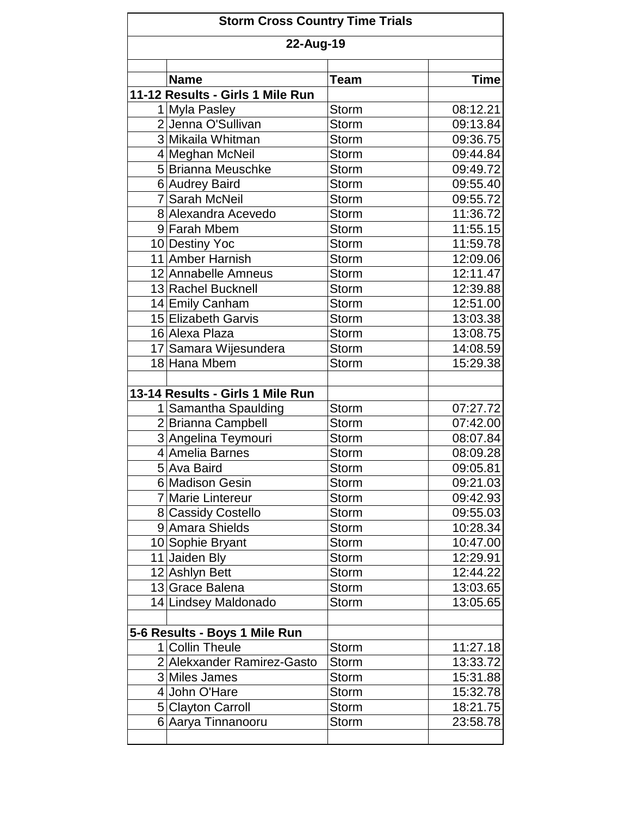|           | <b>Storm Cross Country Time Trials</b> |              |             |  |  |  |
|-----------|----------------------------------------|--------------|-------------|--|--|--|
| 22-Aug-19 |                                        |              |             |  |  |  |
|           | <b>Name</b>                            | Team         | <b>Time</b> |  |  |  |
|           | 11-12 Results - Girls 1 Mile Run       |              |             |  |  |  |
|           | 1 Myla Pasley                          | <b>Storm</b> | 08:12.21    |  |  |  |
|           | 2 Jenna O'Sullivan                     | <b>Storm</b> | 09:13.84    |  |  |  |
|           | 3 Mikaila Whitman                      | <b>Storm</b> | 09:36.75    |  |  |  |
|           | 4 Meghan McNeil                        | <b>Storm</b> | 09:44.84    |  |  |  |
|           | 5 Brianna Meuschke                     | <b>Storm</b> | 09:49.72    |  |  |  |
|           | 6 Audrey Baird                         | <b>Storm</b> | 09:55.40    |  |  |  |
|           | 7 Sarah McNeil                         | <b>Storm</b> | 09:55.72    |  |  |  |
|           | 8 Alexandra Acevedo                    | <b>Storm</b> | 11:36.72    |  |  |  |
|           | 9 Farah Mbem                           | <b>Storm</b> | 11:55.15    |  |  |  |
|           | 10 Destiny Yoc                         | <b>Storm</b> | 11:59.78    |  |  |  |
|           | 11 Amber Harnish                       | <b>Storm</b> | 12:09.06    |  |  |  |
|           | 12 Annabelle Amneus                    | <b>Storm</b> | 12:11.47    |  |  |  |
|           | 13 Rachel Bucknell                     | <b>Storm</b> | 12:39.88    |  |  |  |
|           | 14 Emily Canham                        | <b>Storm</b> | 12:51.00    |  |  |  |
|           | 15 Elizabeth Garvis                    | <b>Storm</b> | 13:03.38    |  |  |  |
|           | 16 Alexa Plaza                         | <b>Storm</b> | 13:08.75    |  |  |  |
|           | 17 Samara Wijesundera                  | <b>Storm</b> | 14:08.59    |  |  |  |
|           | 18 Hana Mbem                           | <b>Storm</b> | 15:29.38    |  |  |  |
|           | 13-14 Results - Girls 1 Mile Run       |              |             |  |  |  |
|           | 1 Samantha Spaulding                   | <b>Storm</b> | 07:27.72    |  |  |  |
|           | 2 Brianna Campbell                     | <b>Storm</b> | 07:42.00    |  |  |  |
|           | 3 Angelina Teymouri                    | <b>Storm</b> | 08:07.84    |  |  |  |
|           | 4 Amelia Barnes                        | <b>Storm</b> | 08:09.28    |  |  |  |
|           | 5 Ava Baird                            | <b>Storm</b> | 09:05.81    |  |  |  |
|           | 6 Madison Gesin                        | Storm        | 09:21.03    |  |  |  |
|           | 7 Marie Lintereur                      | <b>Storm</b> | 09:42.93    |  |  |  |
|           | 8 Cassidy Costello                     | <b>Storm</b> | 09:55.03    |  |  |  |
|           | 9 Amara Shields                        | <b>Storm</b> | 10:28.34    |  |  |  |
|           | 10 Sophie Bryant                       | <b>Storm</b> | 10:47.00    |  |  |  |
|           | 11 Jaiden Bly                          | <b>Storm</b> | 12:29.91    |  |  |  |
|           | 12 Ashlyn Bett                         | <b>Storm</b> | 12:44.22    |  |  |  |
|           | 13 Grace Balena                        | <b>Storm</b> | 13:03.65    |  |  |  |
|           | 14 Lindsey Maldonado                   | <b>Storm</b> | 13:05.65    |  |  |  |
|           | 5-6 Results - Boys 1 Mile Run          |              |             |  |  |  |
|           | 1 Collin Theule                        | <b>Storm</b> | 11:27.18    |  |  |  |
|           | 2 Alekxander Ramirez-Gasto             | <b>Storm</b> | 13:33.72    |  |  |  |
|           | 3 Miles James                          | Storm        | 15:31.88    |  |  |  |
|           | 4 John O'Hare                          | <b>Storm</b> | 15:32.78    |  |  |  |
|           | 5 Clayton Carroll                      | <b>Storm</b> | 18:21.75    |  |  |  |
|           | 6 Aarya Tinnanooru                     | <b>Storm</b> | 23:58.78    |  |  |  |
|           |                                        |              |             |  |  |  |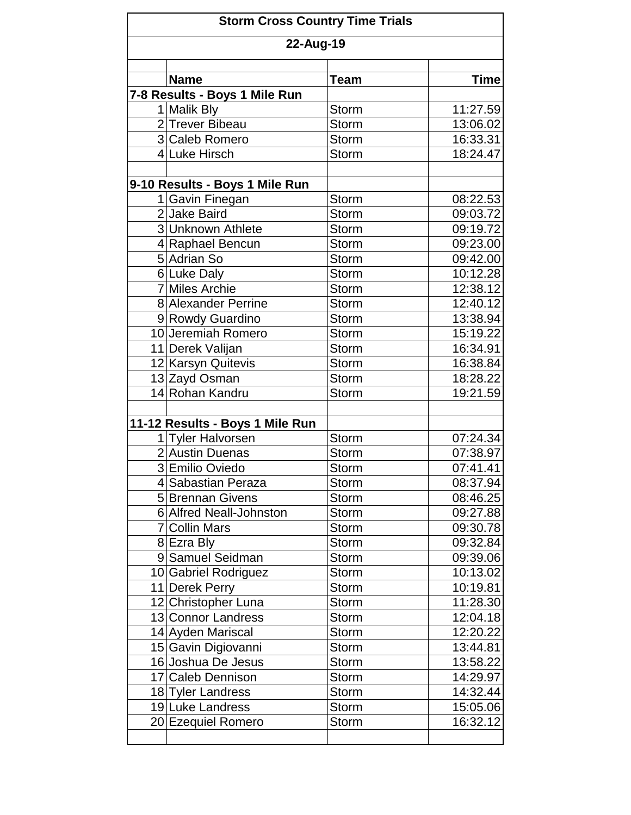| <b>Storm Cross Country Time Trials</b><br>22-Aug-19 |                                              |              |             |  |  |
|-----------------------------------------------------|----------------------------------------------|--------------|-------------|--|--|
|                                                     |                                              |              |             |  |  |
|                                                     | <b>Name</b>                                  | Team         | <b>Time</b> |  |  |
|                                                     | 7-8 Results - Boys 1 Mile Run<br>1 Malik Bly | <b>Storm</b> | 11:27.59    |  |  |
|                                                     | 2 Trever Bibeau                              | <b>Storm</b> | 13:06.02    |  |  |
|                                                     | 3 Caleb Romero                               | <b>Storm</b> | 16:33.31    |  |  |
|                                                     | 4 Luke Hirsch                                | <b>Storm</b> | 18:24.47    |  |  |
|                                                     |                                              |              |             |  |  |
|                                                     | 9-10 Results - Boys 1 Mile Run               |              |             |  |  |
|                                                     | 1 Gavin Finegan                              | <b>Storm</b> | 08:22.53    |  |  |
|                                                     | 2 Jake Baird                                 | <b>Storm</b> | 09:03.72    |  |  |
|                                                     | 3 Unknown Athlete                            | <b>Storm</b> | 09:19.72    |  |  |
|                                                     | 4 Raphael Bencun                             | <b>Storm</b> | 09:23.00    |  |  |
|                                                     | 5 Adrian So                                  | <b>Storm</b> | 09:42.00    |  |  |
|                                                     | 6 Luke Daly                                  | <b>Storm</b> | 10:12.28    |  |  |
|                                                     | 7 Miles Archie                               | <b>Storm</b> | 12:38.12    |  |  |
|                                                     | 8 Alexander Perrine                          | <b>Storm</b> | 12:40.12    |  |  |
|                                                     | 9 Rowdy Guardino                             | <b>Storm</b> | 13:38.94    |  |  |
|                                                     | 10 Jeremiah Romero                           | <b>Storm</b> | 15:19.22    |  |  |
|                                                     | 11 Derek Valijan                             | <b>Storm</b> | 16:34.91    |  |  |
|                                                     | 12 Karsyn Quitevis                           | <b>Storm</b> | 16:38.84    |  |  |
|                                                     | 13 Zayd Osman                                | <b>Storm</b> | 18:28.22    |  |  |
|                                                     | 14 Rohan Kandru                              | <b>Storm</b> | 19:21.59    |  |  |
|                                                     |                                              |              |             |  |  |
|                                                     | 11-12 Results - Boys 1 Mile Run              |              |             |  |  |
|                                                     | 1 Tyler Halvorsen                            | <b>Storm</b> | 07:24.34    |  |  |
|                                                     | 2 Austin Duenas                              | <b>Storm</b> | 07:38.97    |  |  |
|                                                     | 3 Emilio Oviedo                              | <b>Storm</b> | 07:41.41    |  |  |
|                                                     | 4 Sabastian Peraza                           | Storm        | 08:37.94    |  |  |
|                                                     | 5 Brennan Givens                             | <b>Storm</b> | 08:46.25    |  |  |
|                                                     | 6 Alfred Neall-Johnston                      | <b>Storm</b> | 09:27.88    |  |  |
|                                                     | 7 Collin Mars                                | <b>Storm</b> | 09:30.78    |  |  |
|                                                     | 8 Ezra Bly                                   | <b>Storm</b> | 09:32.84    |  |  |
|                                                     | 9 Samuel Seidman                             | <b>Storm</b> | 09:39.06    |  |  |
|                                                     | 10 Gabriel Rodriguez                         | <b>Storm</b> | 10:13.02    |  |  |
|                                                     | 11 Derek Perry                               | <b>Storm</b> | 10:19.81    |  |  |
|                                                     | 12 Christopher Luna                          | <b>Storm</b> | 11:28.30    |  |  |
|                                                     | 13 Connor Landress                           | <b>Storm</b> | 12:04.18    |  |  |
|                                                     | 14 Ayden Mariscal                            | <b>Storm</b> | 12:20.22    |  |  |
|                                                     | 15 Gavin Digiovanni                          | <b>Storm</b> | 13:44.81    |  |  |
|                                                     | 16 Joshua De Jesus                           | <b>Storm</b> | 13:58.22    |  |  |
|                                                     | 17 Caleb Dennison                            | <b>Storm</b> | 14:29.97    |  |  |
|                                                     | 18 Tyler Landress                            | <b>Storm</b> | 14:32.44    |  |  |
|                                                     | 19 Luke Landress                             | <b>Storm</b> | 15:05.06    |  |  |
|                                                     | 20 Ezequiel Romero                           | <b>Storm</b> | 16:32.12    |  |  |
|                                                     |                                              |              |             |  |  |